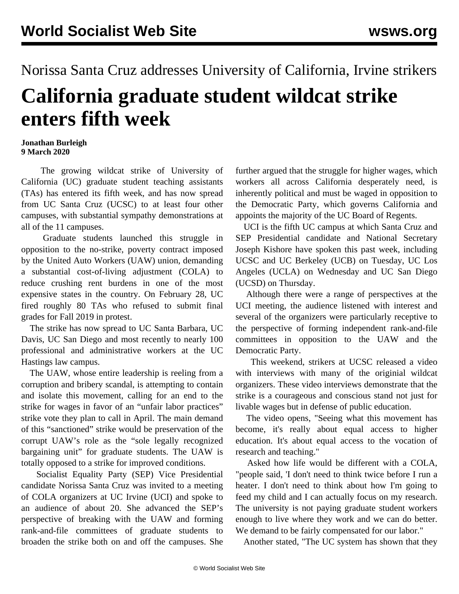## Norissa Santa Cruz addresses University of California, Irvine strikers **California graduate student wildcat strike enters fifth week**

## **Jonathan Burleigh 9 March 2020**

 The growing wildcat strike of University of California (UC) graduate student teaching assistants (TAs) has entered its fifth week, and has now spread from UC Santa Cruz (UCSC) to at least four other campuses, with substantial sympathy demonstrations at all of the 11 campuses.

 Graduate students launched this struggle in opposition to the no-strike, poverty contract imposed by the United Auto Workers (UAW) union, demanding a substantial cost-of-living adjustment (COLA) to reduce crushing rent burdens in one of the most expensive states in the country. On February 28, UC fired roughly 80 TAs who refused to submit final grades for Fall 2019 in protest.

 The strike has now spread to UC Santa Barbara, UC Davis, UC San Diego and most recently to nearly 100 professional and administrative workers at the UC Hastings law campus.

 The UAW, whose entire leadership is reeling from a corruption and bribery scandal, is attempting to contain and isolate this movement, calling for an end to the strike for wages in favor of an "unfair labor practices" strike vote they plan to call in April. The main demand of this "sanctioned" strike would be preservation of the corrupt UAW's role as the "sole legally recognized bargaining unit" for graduate students. The UAW is totally opposed to a strike for improved conditions.

 Socialist Equality Party (SEP) Vice Presidential candidate Norissa Santa Cruz was invited to a meeting of COLA organizers at UC Irvine (UCI) and spoke to an audience of about 20. She advanced the SEP's perspective of breaking with the UAW and forming rank-and-file committees of graduate students to broaden the strike both on and off the campuses. She

further argued that the struggle for higher wages, which workers all across California desperately need, is inherently political and must be waged in opposition to the Democratic Party, which governs California and appoints the majority of the UC Board of Regents.

 UCI is the fifth UC campus at which Santa Cruz and SEP Presidential candidate and National Secretary Joseph Kishore have spoken this past week, including UCSC and UC Berkeley (UCB) on Tuesday, UC Los Angeles (UCLA) on Wednesday and UC San Diego (UCSD) on Thursday.

 Although there were a range of perspectives at the UCI meeting, the audience listened with interest and several of the organizers were particularly receptive to the perspective of forming independent rank-and-file committees in opposition to the UAW and the Democratic Party.

 This weekend, strikers at UCSC released a [video](https://www.youtube.com/watch?v=FtOghXKKdUw&t=329s) with interviews with many of the originial wildcat organizers. These video interviews demonstrate that the strike is a courageous and conscious stand not just for livable wages but in defense of public education.

 The video opens, "Seeing what this movement has become, it's really about equal access to higher education. It's about equal access to the vocation of research and teaching."

 Asked how life would be different with a COLA, "people said, 'I don't need to think twice before I run a heater. I don't need to think about how I'm going to feed my child and I can actually focus on my research. The university is not paying graduate student workers enough to live where they work and we can do better. We demand to be fairly compensated for our labor."

Another stated, "The UC system has shown that they